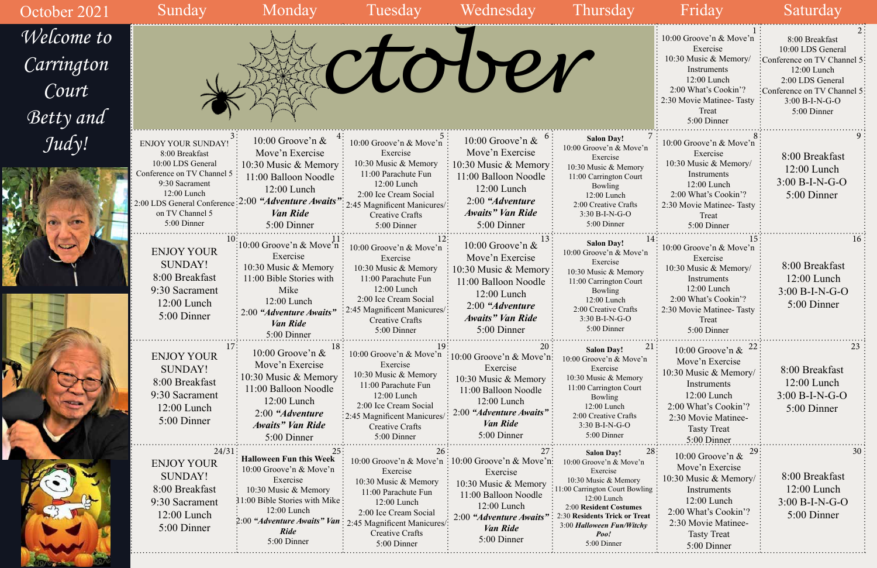| October 2021                                          | Sunday                                                                                                                                                                                             | Monday                                                                                                                                                                                                      | Tuesday                                                                                                                                                                                                 | Wednesday                                                                                                                                                                        | <b>Thursday</b>                                                                                                                                                                                                                                   | Friday                                                                                                                                                                            | Saturday                                                                                                                                                                |
|-------------------------------------------------------|----------------------------------------------------------------------------------------------------------------------------------------------------------------------------------------------------|-------------------------------------------------------------------------------------------------------------------------------------------------------------------------------------------------------------|---------------------------------------------------------------------------------------------------------------------------------------------------------------------------------------------------------|----------------------------------------------------------------------------------------------------------------------------------------------------------------------------------|---------------------------------------------------------------------------------------------------------------------------------------------------------------------------------------------------------------------------------------------------|-----------------------------------------------------------------------------------------------------------------------------------------------------------------------------------|-------------------------------------------------------------------------------------------------------------------------------------------------------------------------|
| <i>Welcome to</i><br>Carrington<br>Court<br>Betty and |                                                                                                                                                                                                    |                                                                                                                                                                                                             |                                                                                                                                                                                                         | CLOUTEN                                                                                                                                                                          |                                                                                                                                                                                                                                                   | 10:00 Groove'n & Move'n<br>Exercise<br>10:30 Music & Memory/<br>Instruments<br>12:00 Lunch<br>2:00 What's Cookin'?<br>2:30 Movie Matinee- Tasty<br>Treat<br>5:00 Dinner           | 8:00 Breakfast<br>10:00 LDS General<br>:Conference on TV Channel 5<br>12:00 Lunch<br>2:00 LDS General<br>:Conference on TV Channel 5<br>$3:00 B-I-N-G-O$<br>5:00 Dinner |
| Judy!                                                 | <b>ENJOY YOUR SUNDAY!</b><br>8:00 Breakfast<br>10:00 LDS General<br>Conference on TV Channel 5<br>9:30 Sacrament<br>12:00 Lunch<br>: 2:00 LDS General Conference<br>on TV Channel 5<br>5:00 Dinner | $10:00$ Groove'n $\&$<br>Move'n Exercise<br>10:30 Music & Memory<br>11:00 Balloon Noodle<br>$12:00$ Lunch<br>$\frac{1}{2}:00$ "Adventure Awaits"<br><b>Van Ride</b><br>5:00 Dinner                          | $10:00$ Groove'n & Move'n<br>Exercise<br>10:30 Music & Memory<br>11:00 Parachute Fun<br>$12:00$ Lunch<br>2:00 Ice Cream Social<br>2:45 Magnificent Manicures/:<br><b>Creative Crafts</b><br>5:00 Dinner | 10:00 Groove'n $\&$<br>Move'n Exercise<br>10:30 Music & Memory:<br>11:00 Balloon Noodle<br>12:00 Lunch<br>$2:00$ "Adventure"<br>Awaits" Van Ride<br>5:00 Dinner                  | <b>Salon Day!</b><br>10:00 Groove'n & Move'n<br>Exercise<br>10:30 Music & Memory<br>11:00 Carrington Court<br>Bowling<br>12:00 Lunch<br>2:00 Creative Crafts<br>$3:30 B-I-N-G-O$<br>5:00 Dinner                                                   | 10:00 Groove'n & Move'n<br>Exercise<br>10:30 Music & Memory/<br>Instruments<br>12:00 Lunch<br>2:00 What's Cookin'?<br>2:30 Movie Matinee-Tasty<br>Treat<br>5:00 Dinner            | 8:00 Breakfast<br>12:00 Lunch<br>$3:00 B-I-N-G-O$<br>5:00 Dinner                                                                                                        |
|                                                       | <b>ENJOY YOUR</b><br><b>SUNDAY!</b><br>8:00 Breakfast<br>9:30 Sacrament<br>12:00 Lunch<br>5:00 Dinner                                                                                              | :10:00 Groove'n & Move'n:<br>Exercise<br>10:30 Music & Memory<br>11:00 Bible Stories with<br>Mike<br>12:00 Lunch<br>$\therefore$ 2:00 "Adventure Awaits"<br><b>Van Ride</b><br>5:00 Dinner                  | 10:00 Groove'n & Move'n<br>Exercise<br>10:30 Music & Memory<br>11:00 Parachute Fun<br>12:00 Lunch<br>2:00 Ice Cream Social<br>2:45 Magnificent Manicures/:<br>Creative Crafts<br>5:00 Dinner            | 10:00 Groove'n $&$<br>Move'n Exercise<br>10:30 Music & Memory<br>11:00 Balloon Noodle<br>12:00 Lunch<br>$2:00$ "Adventure"<br><b>Awaits</b> " Van Ride<br>5:00 Dinner            | <b>Salon Day!</b><br>10:00 Groove'n & Move'n<br>Exercise<br>10:30 Music & Memory<br>11:00 Carrington Court<br>Bowling<br>12:00 Lunch<br>2:00 Creative Crafts<br>3:30 B-I-N-G-O<br>5:00 Dinner                                                     | 10:00 Groove'n & Move'n<br>Exercise<br>10:30 Music & Memory/<br>Instruments<br>12:00 Lunch<br>2:00 What's Cookin'?<br>2:30 Movie Matinee-Tasty<br>Treat<br>5:00 Dinner            | 16.<br>8:00 Breakfast<br>$12:00$ Lunch<br>$3:00 B-I-N-G-O$<br>5:00 Dinner                                                                                               |
|                                                       | <b>ENJOY YOUR</b><br><b>SUNDAY!</b><br>8:00 Breakfast<br>9:30 Sacrament<br>$12:00$ Lunch<br>5:00 Dinner                                                                                            | 10:00 Groove'n $\&$<br>Move'n Exercise<br>$\approx 10:30$ Music & Memory<br>11:00 Balloon Noodle<br>$12:00$ Lunch<br>2:00 "Adventure<br>Awaits" Van Ride<br>5:00 Dinner                                     | 10:00 Groove'n & Move'n<br>Exercise<br>10:30 Music & Memory<br>11:00 Parachute Fun<br>12:00 Lunch<br>2:00 Ice Cream Social<br>:2:45 Magnificent Manicures/<br><b>Creative Crafts</b><br>5:00 Dinner     | $\frac{1}{2}$ 10:00 Groove'n & Move'n:<br>Exercise<br>10:30 Music & Memory<br>11:00 Balloon Noodle<br>$12:00$ Lunch<br>2:00 "Adventure Awaits"<br><i>Van Ride</i><br>5:00 Dinner | <b>Salon Day!</b><br>10:00 Groove'n & Move'n<br>Exercise<br>10:30 Music & Memory<br>11:00 Carrington Court<br>Bowling<br>12:00 Lunch<br>2:00 Creative Crafts<br>3:30 B-I-N-G-O<br>5:00 Dinner                                                     | 10:00 Groove'n $\&$<br>Move'n Exercise<br>10:30 Music & Memory/<br>Instruments<br>12:00 Lunch<br>2:00 What's Cookin'?<br>2:30 Movie Matinee-<br><b>Tasty Treat</b><br>5:00 Dinner | 8:00 Breakfast<br>$12:00$ Lunch<br>3:00 B-I-N-G-O<br>5:00 Dinner                                                                                                        |
|                                                       | 24/31<br><b>ENJOY YOUR</b><br><b>SUNDAY!</b><br>8:00 Breakfast<br>9:30 Sacrament<br>12:00 Lunch<br>5:00 Dinner                                                                                     | <b>Halloween Fun this Week</b><br>10:00 Groove'n & Move'n<br>Exercise<br>10:30 Music & Memory<br>11:00 Bible Stories with Mike:<br>12:00 Lunch<br>2:00 "Adventure Awaits" Van<br><b>Ride</b><br>5:00 Dinner | 10:00 Groove'n & Move'n<br>Exercise<br>10:30 Music & Memory<br>11:00 Parachute Fun<br>12:00 Lunch<br>2:00 Ice Cream Social<br>2:45 Magnificent Manicures<br>Creative Crafts<br>5:00 Dinner              | : $10:00$ Groove'n & Move'n:<br>Exercise<br>10:30 Music & Memory<br>11:00 Balloon Noodle<br>12:00 Lunch<br>2:00 "Adventure Awaits"<br>Van Ride<br>5:00 Dinner                    | <b>Salon Day!</b><br>10:00 Groove'n & Move'n<br>Exercise<br>10:30 Music & Memory<br>11:00 Carrington Court Bowling:<br>12:00 Lunch<br>2:00 Resident Costumes<br>2:30 Residents Trick or Treat<br>3:00 Halloween Fun/Witchy<br>Poo!<br>5:00 Dinner | 10:00 Groove'n &<br>Move'n Exercise<br>10:30 Music & Memory/<br>Instruments<br>12:00 Lunch<br>2:00 What's Cookin'?<br>2:30 Movie Matinee-<br><b>Tasty Treat</b><br>5:00 Dinner    | 8:00 Breakfast<br>12:00 Lunch<br>$3:00 B-I-N-G-O$<br>5:00 Dinner                                                                                                        |

**Distance** 

### 10:00 Groove'n & Move'n Exercise 10:30 Music & Memory/ Instruments 12:00 Lunch 2:00 What's Cookin'? 2:30 Movie Matinee- Tasty Treat 5:00 Dinner 10:00 Groove'n & Move'n Exercise 10:30 Music & Memory/ Instruments 12:00 Lunch 2:00 What's Cookin'? 2:30 Movie Matinee-Tasty Treat 5:00 Dinner 10:00 Groove'n & Move'n Exercise 10:30 Music & Memory/ Instruments 12:00 Lunch 2:00 What's Cookin'? 2:30 Movie Matinee- Tasty Treat 5:00 Dinner 10:00 Groove'n & Move'n Exercise 10:30 Music & Memory/ Instruments 12:00 Lunch 2:00 What's Cookin'? 2:30 Movie Matinee- Tasty Treat 5:00 Dinner 10:00 Groove'n & Move'n Exercise 10:30 Music & Memory/ Instruments 12:00 Lunch 2:00 What's Cookin'? 2:30 Movie Matinee-Tasty Treat 5:00 Dinner